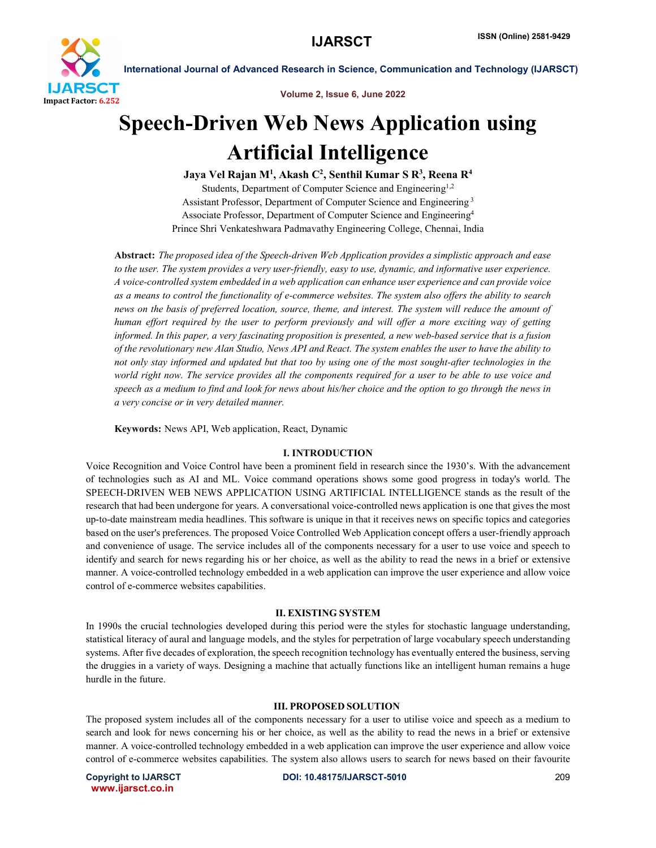

Volume 2, Issue 6, June 2022

# Speech-Driven Web News Application using Artificial Intelligence

Jaya Vel Rajan M<sup>1</sup>, Akash C<sup>2</sup>, Senthil Kumar S R<sup>3</sup>, Reena R<sup>4</sup> Students, Department of Computer Science and Engineering<sup>1,2</sup> Assistant Professor, Department of Computer Science and Engineering <sup>3</sup> Associate Professor, Department of Computer Science and Engineering4 Prince Shri Venkateshwara Padmavathy Engineering College, Chennai, India

Abstract: *The proposed idea of the Speech-driven Web Application provides a simplistic approach and ease to the user. The system provides a very user-friendly, easy to use, dynamic, and informative user experience. A voice-controlled system embedded in a web application can enhance user experience and can provide voice as a means to control the functionality of e-commerce websites. The system also offers the ability to search news on the basis of preferred location, source, theme, and interest. The system will reduce the amount of human effort required by the user to perform previously and will offer a more exciting way of getting informed. In this paper, a very fascinating proposition is presented, a new web-based service that is a fusion of the revolutionary new Alan Studio, News API and React. The system enables the user to have the ability to not only stay informed and updated but that too by using one of the most sought-after technologies in the world right now. The service provides all the components required for a user to be able to use voice and speech as a medium to find and look for news about his/her choice and the option to go through the news in a very concise or in very detailed manner.*

Keywords: News API, Web application, React, Dynamic

#### I. INTRODUCTION

Voice Recognition and Voice Control have been a prominent field in research since the 1930's. With the advancement of technologies such as AI and ML. Voice command operations shows some good progress in today's world. The SPEECH-DRIVEN WEB NEWS APPLICATION USING ARTIFICIAL INTELLIGENCE stands as the result of the research that had been undergone for years. A conversational voice-controlled news application is one that gives the most up-to-date mainstream media headlines. This software is unique in that it receives news on specific topics and categories based on the user's preferences. The proposed Voice Controlled Web Application concept offers a user-friendly approach and convenience of usage. The service includes all of the components necessary for a user to use voice and speech to identify and search for news regarding his or her choice, as well as the ability to read the news in a brief or extensive manner. A voice-controlled technology embedded in a web application can improve the user experience and allow voice control of e-commerce websites capabilities.

#### II. EXISTING SYSTEM

In 1990s the crucial technologies developed during this period were the styles for stochastic language understanding, statistical literacy of aural and language models, and the styles for perpetration of large vocabulary speech understanding systems. After five decades of exploration, the speech recognition technology has eventually entered the business, serving the druggies in a variety of ways. Designing a machine that actually functions like an intelligent human remains a huge hurdle in the future.

#### III. PROPOSED SOLUTION

The proposed system includes all of the components necessary for a user to utilise voice and speech as a medium to search and look for news concerning his or her choice, as well as the ability to read the news in a brief or extensive manner. A voice-controlled technology embedded in a web application can improve the user experience and allow voice control of e-commerce websites capabilities. The system also allows users to search for news based on their favourite

www.ijarsct.co.in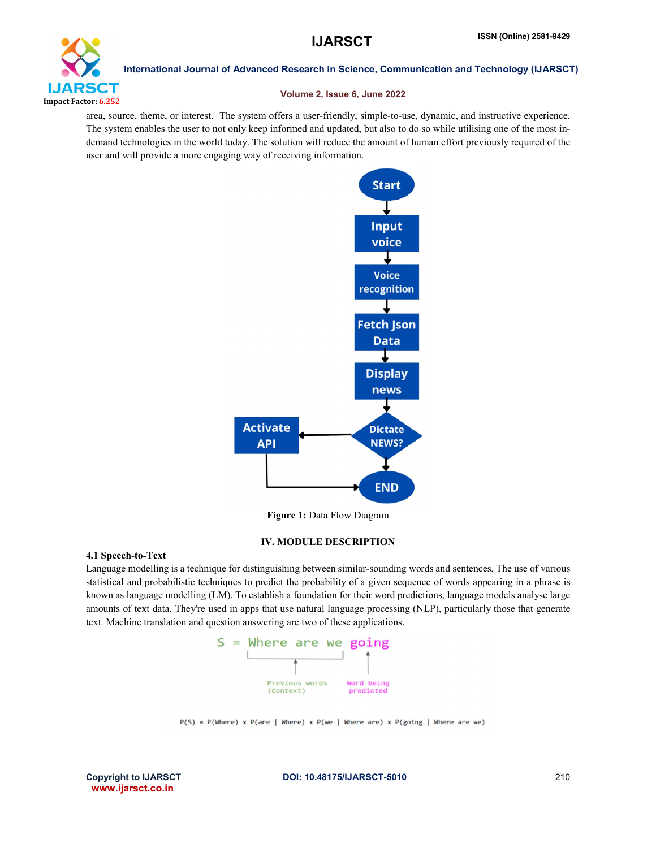

International Journal of Advanced Research in Science, Communication and Technology (IJARSCT)

#### Volume 2, Issue 6, June 2022

area, source, theme, or interest. The system offers a user-friendly, simple-to-use, dynamic, and instructive experience. The system enables the user to not only keep informed and updated, but also to do so while utilising one of the most indemand technologies in the world today. The solution will reduce the amount of human effort previously required of the user and will provide a more engaging way of receiving information.



Figure 1: Data Flow Diagram

# IV. MODULE DESCRIPTION

#### 4.1 Speech-to-Text

Language modelling is a technique for distinguishing between similar-sounding words and sentences. The use of various statistical and probabilistic techniques to predict the probability of a given sequence of words appearing in a phrase is known as language modelling (LM). To establish a foundation for their word predictions, language models analyse large amounts of text data. They're used in apps that use natural language processing (NLP), particularly those that generate text. Machine translation and question answering are two of these applications.



 $P(S) = P(Where) \times P(are | Where) \times P(we | Where are) \times P(going | Where are we)$ 

www.ijarsct.co.in

Copyright to IJARSCTDOI: 10.48175/IJARSCT-5010 **210**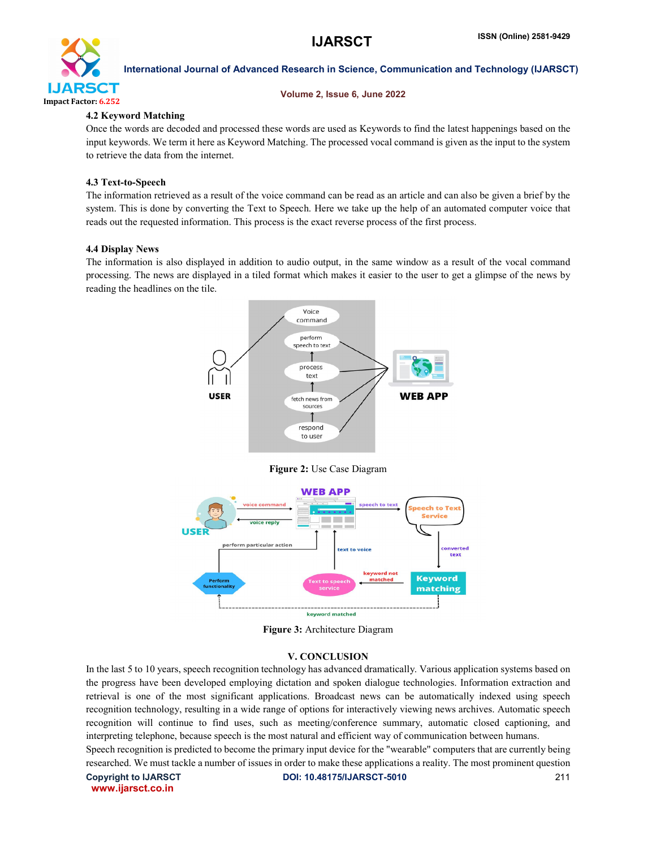

# International Journal of Advanced Research in Science, Communication and Technology (IJARSCT)

### Volume 2, Issue 6, June 2022

# 4.2 Keyword Matching

Once the words are decoded and processed these words are used as Keywords to find the latest happenings based on the input keywords. We term it here as Keyword Matching. The processed vocal command is given as the input to the system to retrieve the data from the internet.

# 4.3 Text-to-Speech

The information retrieved as a result of the voice command can be read as an article and can also be given a brief by the system. This is done by converting the Text to Speech. Here we take up the help of an automated computer voice that reads out the requested information. This process is the exact reverse process of the first process.

### 4.4 Display News

The information is also displayed in addition to audio output, in the same window as a result of the vocal command processing. The news are displayed in a tiled format which makes it easier to the user to get a glimpse of the news by reading the headlines on the tile.



# Figure 2: Use Case Diagram



Figure 3: Architecture Diagram

# V. CONCLUSION

In the last 5 to 10 years, speech recognition technology has advanced dramatically. Various application systems based on the progress have been developed employing dictation and spoken dialogue technologies. Information extraction and retrieval is one of the most significant applications. Broadcast news can be automatically indexed using speech recognition technology, resulting in a wide range of options for interactively viewing news archives. Automatic speech recognition will continue to find uses, such as meeting/conference summary, automatic closed captioning, and interpreting telephone, because speech is the most natural and efficient way of communication between humans.

Speech recognition is predicted to become the primary input device for the "wearable" computers that are currently being researched. We must tackle a number of issues in order to make these applications a reality. The most prominent question

www.ijarsct.co.in